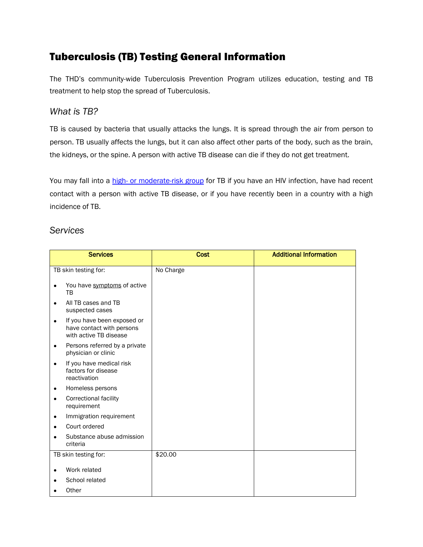# Tuberculosis (TB) Testing General Information

The THD's community-wide Tuberculosis Prevention Program utilizes education, testing and TB treatment to help stop the spread of Tuberculosis.

## *What is TB?*

TB is caused by bacteria that usually attacks the lungs. It is spread through the air from person to person. TB usually affects the lungs, but it can also affect other parts of the body, such as the brain, the kidneys, or the spine. A person with active TB disease can die if they do not get treatment.

You may fall into a high- [or moderate-risk group](http://www.cdc.gov/tb/publications/faqs/qa_latenttbinf.htm#Latent1) for TB if you have an HIV infection, have had recent contact with a person with active TB disease, or if you have recently been in a country with a high incidence of TB.

### *Services*

| <b>Services</b>      |                                                                                    | <b>Cost</b> | <b>Additional Information</b> |
|----------------------|------------------------------------------------------------------------------------|-------------|-------------------------------|
| TB skin testing for: |                                                                                    | No Charge   |                               |
| $\bullet$            | You have symptoms of active<br>ТB                                                  |             |                               |
| $\bullet$            | All TB cases and TB<br>suspected cases                                             |             |                               |
| $\bullet$            | If you have been exposed or<br>have contact with persons<br>with active TB disease |             |                               |
| $\bullet$            | Persons referred by a private<br>physician or clinic                               |             |                               |
| $\bullet$            | If you have medical risk<br>factors for disease<br>reactivation                    |             |                               |
| $\bullet$            | Homeless persons                                                                   |             |                               |
| $\bullet$            | <b>Correctional facility</b><br>requirement                                        |             |                               |
| ٠                    | Immigration requirement                                                            |             |                               |
|                      | Court ordered                                                                      |             |                               |
|                      | Substance abuse admission<br>criteria                                              |             |                               |
| TB skin testing for: |                                                                                    | \$20.00     |                               |
|                      | Work related                                                                       |             |                               |
|                      | School related                                                                     |             |                               |
|                      | Other                                                                              |             |                               |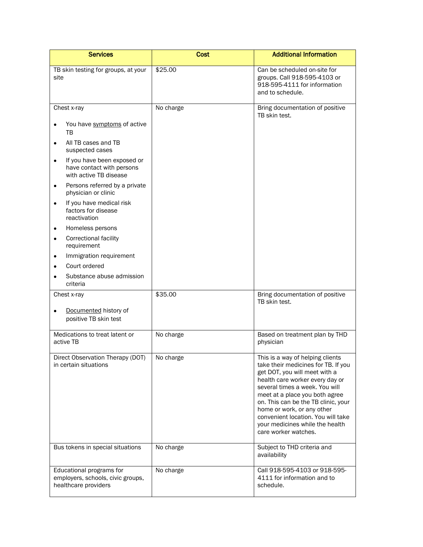| <b>Services</b>                                                                                                                                                                                                                                                                                                                                                                                                                                                                                                     | <b>Cost</b> | <b>Additional Information</b>                                                                                                                                                                                                                                                                                                                                                         |
|---------------------------------------------------------------------------------------------------------------------------------------------------------------------------------------------------------------------------------------------------------------------------------------------------------------------------------------------------------------------------------------------------------------------------------------------------------------------------------------------------------------------|-------------|---------------------------------------------------------------------------------------------------------------------------------------------------------------------------------------------------------------------------------------------------------------------------------------------------------------------------------------------------------------------------------------|
| TB skin testing for groups, at your<br>site                                                                                                                                                                                                                                                                                                                                                                                                                                                                         | \$25.00     | Can be scheduled on-site for<br>groups. Call 918-595-4103 or<br>918-595-4111 for information<br>and to schedule.                                                                                                                                                                                                                                                                      |
| Chest x-ray                                                                                                                                                                                                                                                                                                                                                                                                                                                                                                         | No charge   | Bring documentation of positive<br>TB skin test.                                                                                                                                                                                                                                                                                                                                      |
| You have symptoms of active<br>$\bullet$<br>тв<br>All TB cases and TB<br>$\bullet$<br>suspected cases<br>If you have been exposed or<br>$\bullet$<br>have contact with persons<br>with active TB disease<br>Persons referred by a private<br>$\bullet$<br>physician or clinic<br>If you have medical risk<br>$\bullet$<br>factors for disease<br>reactivation<br>Homeless persons<br>$\bullet$<br><b>Correctional facility</b><br>$\bullet$<br>requirement<br>Immigration requirement<br>$\bullet$<br>Court ordered |             |                                                                                                                                                                                                                                                                                                                                                                                       |
| Substance abuse admission<br>criteria                                                                                                                                                                                                                                                                                                                                                                                                                                                                               |             |                                                                                                                                                                                                                                                                                                                                                                                       |
| Chest x-ray<br>Documented history of<br>positive TB skin test                                                                                                                                                                                                                                                                                                                                                                                                                                                       | \$35.00     | Bring documentation of positive<br>TB skin test.                                                                                                                                                                                                                                                                                                                                      |
| Medications to treat latent or<br>active TB                                                                                                                                                                                                                                                                                                                                                                                                                                                                         | No charge   | Based on treatment plan by THD<br>physician                                                                                                                                                                                                                                                                                                                                           |
| Direct Observation Therapy (DOT)<br>in certain situations                                                                                                                                                                                                                                                                                                                                                                                                                                                           | No charge   | This is a way of helping clients<br>take their medicines for TB. If you<br>get DOT, you will meet with a<br>health care worker every day or<br>several times a week. You will<br>meet at a place you both agree<br>on. This can be the TB clinic, your<br>home or work, or any other<br>convenient location. You will take<br>your medicines while the health<br>care worker watches. |
| Bus tokens in special situations                                                                                                                                                                                                                                                                                                                                                                                                                                                                                    | No charge   | Subject to THD criteria and<br>availability                                                                                                                                                                                                                                                                                                                                           |
| Educational programs for<br>employers, schools, civic groups,<br>healthcare providers                                                                                                                                                                                                                                                                                                                                                                                                                               | No charge   | Call 918-595-4103 or 918-595-<br>4111 for information and to<br>schedule.                                                                                                                                                                                                                                                                                                             |